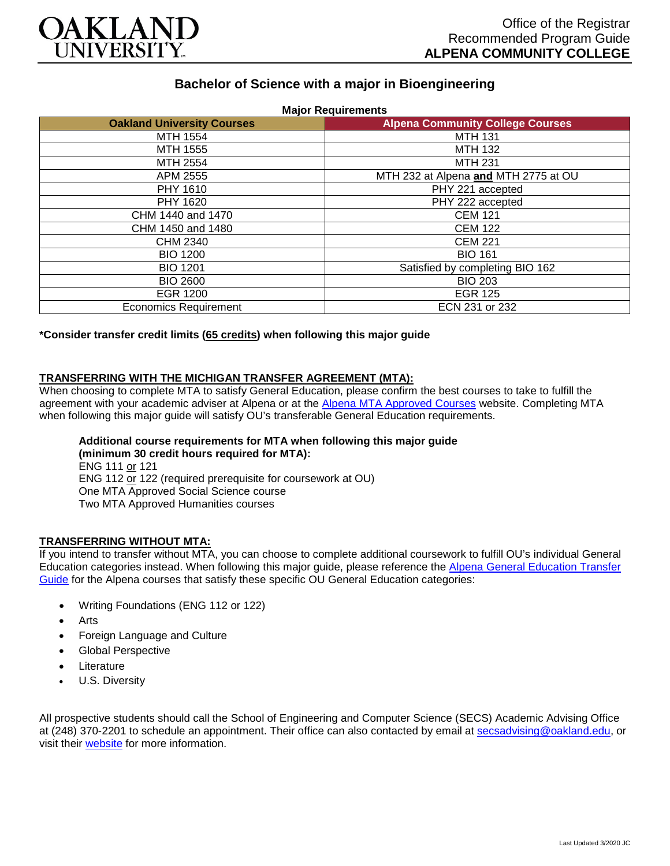

# **Bachelor of Science with a major in Bioengineering**

| <b>Oakland University Courses</b> | <b>Alpena Community College Courses</b> |
|-----------------------------------|-----------------------------------------|
| MTH 1554                          | <b>MTH 131</b>                          |
| MTH 1555                          | MTH 132                                 |
| MTH 2554                          | <b>MTH 231</b>                          |
| APM 2555                          | MTH 232 at Alpena and MTH 2775 at OU    |
| PHY 1610                          | PHY 221 accepted                        |
| PHY 1620                          | PHY 222 accepted                        |
| CHM 1440 and 1470                 | <b>CEM 121</b>                          |
| CHM 1450 and 1480                 | <b>CEM 122</b>                          |
| CHM 2340                          | <b>CEM 221</b>                          |
| <b>BIO 1200</b>                   | <b>BIO 161</b>                          |
| <b>BIO 1201</b>                   | Satisfied by completing BIO 162         |
| <b>BIO 2600</b>                   | <b>BIO 203</b>                          |
| <b>EGR 1200</b>                   | <b>EGR 125</b>                          |
| <b>Economics Requirement</b>      | ECN 231 or 232                          |

**\*Consider transfer credit limits (65 credits) when following this major guide**

# **TRANSFERRING WITH THE MICHIGAN TRANSFER AGREEMENT (MTA):**

When choosing to complete MTA to satisfy General Education, please confirm the best courses to take to fulfill the agreement with your academic adviser at Alpena or at the [Alpena MTA Approved Courses](https://discover.alpenacc.edu/admissions/current_students/MTA.php) website. Completing MTA when following this major guide will satisfy OU's transferable General Education requirements.

#### **Additional course requirements for MTA when following this major guide (minimum 30 credit hours required for MTA):**

ENG 111 or 121 ENG 112 or 122 (required prerequisite for coursework at OU) One MTA Approved Social Science course Two MTA Approved Humanities courses

### **TRANSFERRING WITHOUT MTA:**

If you intend to transfer without MTA, you can choose to complete additional coursework to fulfill OU's individual General Education categories instead. When following this major guide, please reference the [Alpena General Education Transfer](https://www.oakland.edu/Assets/Oakland/program-guides/alpena-community-college/university-general-education-requirements/Alpena%20Gen%20Ed.pdf)  [Guide](https://www.oakland.edu/Assets/Oakland/program-guides/alpena-community-college/university-general-education-requirements/Alpena%20Gen%20Ed.pdf) for the Alpena courses that satisfy these specific OU General Education categories:

- Writing Foundations (ENG 112 or 122)
- **Arts**
- Foreign Language and Culture
- Global Perspective
- **Literature**
- U.S. Diversity

All prospective students should call the School of Engineering and Computer Science (SECS) Academic Advising Office at (248) 370-2201 to schedule an appointment. Their office can also contacted by email at [secsadvising@oakland.edu,](mailto:secsadvising@oakland.edu) or visit their [website](https://wwwp.oakland.edu/secs/advising/) for more information.